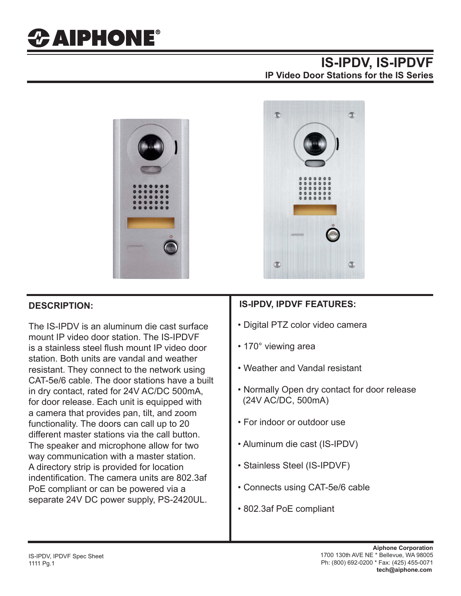# *CAIPHONE®*

## **IS-IPDV, IS-IPDVF IP Video Door Stations for the IS Series**



The IS-IPDV is an aluminum die cast surface mount IP video door station. The IS-IPDVF is a stainless steel flush mount IP video door station. Both units are vandal and weather resistant. They connect to the network using CAT-5e/6 cable. The door stations have a built in dry contact, rated for 24V AC/DC 500mA, for door release. Each unit is equipped with a camera that provides pan, tilt, and zoom functionality. The doors can call up to 20 different master stations via the call button. The speaker and microphone allow for two way communication with a master station. A directory strip is provided for location indentification. The camera units are 802.3af PoE compliant or can be powered via a separate 24V DC power supply, PS-2420UL.



### **DESCRIPTION: IS-IPDV, IPDVF FEATURES:**

- Digital PTZ color video camera
- 170° viewing area
- Weather and Vandal resistant
- Normally Open dry contact for door release (24V AC/DC, 500mA)
- For indoor or outdoor use
- Aluminum die cast (IS-IPDV)
- Stainless Steel (IS-IPDVF)
- Connects using CAT-5e/6 cable
- 802.3af PoE compliant